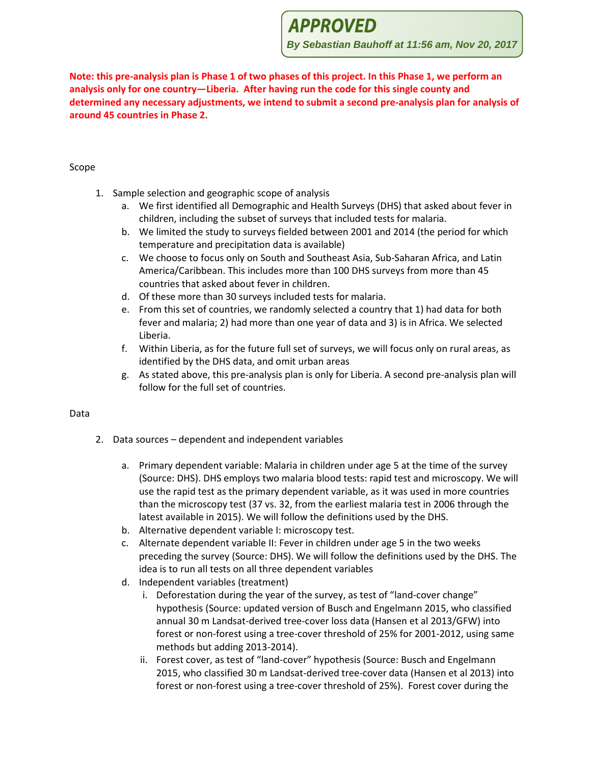# **APPROVED**

**By Sebastian Bauhoff at 11:56 am, Nov 20, 2017**

**Note: this pre-analysis plan is Phase 1 of two phases of this project. In this Phase 1, we perform an analysis only for one country—Liberia. After having run the code for this single county and determined any necessary adjustments, we intend to submit a second pre-analysis plan for analysis of around 45 countries in Phase 2.**

#### Scope

- 1. Sample selection and geographic scope of analysis
	- a. We first identified all Demographic and Health Surveys (DHS) that asked about fever in children, including the subset of surveys that included tests for malaria.
	- b. We limited the study to surveys fielded between 2001 and 2014 (the period for which temperature and precipitation data is available)
	- c. We choose to focus only on South and Southeast Asia, Sub-Saharan Africa, and Latin America/Caribbean. This includes more than 100 DHS surveys from more than 45 countries that asked about fever in children.
	- d. Of these more than 30 surveys included tests for malaria.
	- e. From this set of countries, we randomly selected a country that 1) had data for both fever and malaria; 2) had more than one year of data and 3) is in Africa. We selected Liberia.
	- f. Within Liberia, as for the future full set of surveys, we will focus only on rural areas, as identified by the DHS data, and omit urban areas
	- g. As stated above, this pre-analysis plan is only for Liberia. A second pre-analysis plan will follow for the full set of countries.

#### Data

- 2. Data sources dependent and independent variables
	- a. Primary dependent variable: Malaria in children under age 5 at the time of the survey (Source: DHS). DHS employs two malaria blood tests: rapid test and microscopy. We will use the rapid test as the primary dependent variable, as it was used in more countries than the microscopy test (37 vs. 32, from the earliest malaria test in 2006 through the latest available in 2015). We will follow the definitions used by the DHS.
	- b. Alternative dependent variable I: microscopy test.
	- c. Alternate dependent variable II: Fever in children under age 5 in the two weeks preceding the survey (Source: DHS). We will follow the definitions used by the DHS. The idea is to run all tests on all three dependent variables
	- d. Independent variables (treatment)
		- i. Deforestation during the year of the survey, as test of "land-cover change" hypothesis (Source: updated version of Busch and Engelmann 2015, who classified annual 30 m Landsat-derived tree-cover loss data (Hansen et al 2013/GFW) into forest or non-forest using a tree-cover threshold of 25% for 2001-2012, using same methods but adding 2013-2014).
		- ii. Forest cover, as test of "land-cover" hypothesis (Source: Busch and Engelmann 2015, who classified 30 m Landsat-derived tree-cover data (Hansen et al 2013) into forest or non-forest using a tree-cover threshold of 25%). Forest cover during the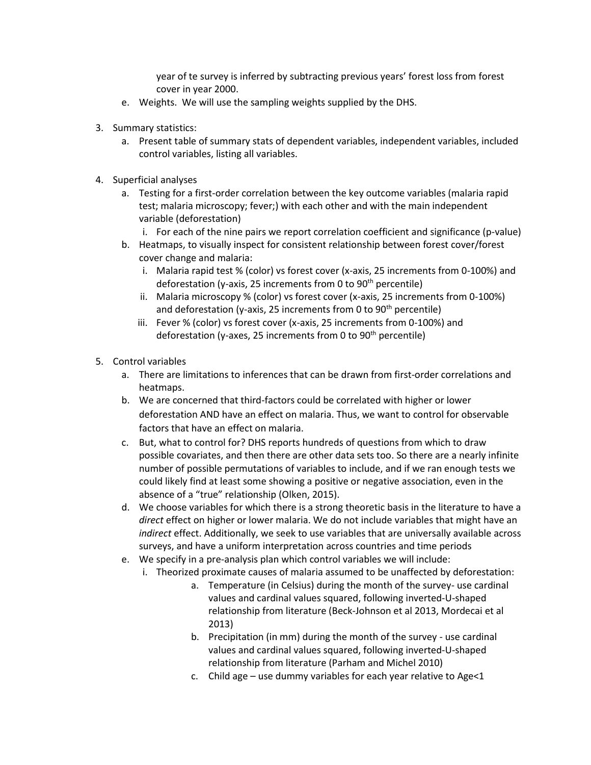year of te survey is inferred by subtracting previous years' forest loss from forest cover in year 2000.

- e. Weights. We will use the sampling weights supplied by the DHS.
- 3. Summary statistics:
	- a. Present table of summary stats of dependent variables, independent variables, included control variables, listing all variables.
- 4. Superficial analyses
	- a. Testing for a first-order correlation between the key outcome variables (malaria rapid test; malaria microscopy; fever;) with each other and with the main independent variable (deforestation)
		- i. For each of the nine pairs we report correlation coefficient and significance (p-value)
	- b. Heatmaps, to visually inspect for consistent relationship between forest cover/forest cover change and malaria:
		- i. Malaria rapid test % (color) vs forest cover (x-axis, 25 increments from 0-100%) and deforestation (y-axis, 25 increments from 0 to  $90<sup>th</sup>$  percentile)
		- ii. Malaria microscopy % (color) vs forest cover (x-axis, 25 increments from 0-100%) and deforestation (y-axis, 25 increments from 0 to  $90<sup>th</sup>$  percentile)
		- iii. Fever % (color) vs forest cover (x-axis, 25 increments from 0-100%) and deforestation (y-axes, 25 increments from 0 to  $90<sup>th</sup>$  percentile)
- 5. Control variables
	- a. There are limitations to inferences that can be drawn from first-order correlations and heatmaps.
	- b. We are concerned that third-factors could be correlated with higher or lower deforestation AND have an effect on malaria. Thus, we want to control for observable factors that have an effect on malaria.
	- c. But, what to control for? DHS reports hundreds of questions from which to draw possible covariates, and then there are other data sets too. So there are a nearly infinite number of possible permutations of variables to include, and if we ran enough tests we could likely find at least some showing a positive or negative association, even in the absence of a "true" relationship (Olken, 2015).
	- d. We choose variables for which there is a strong theoretic basis in the literature to have a *direct* effect on higher or lower malaria. We do not include variables that might have an *indirect* effect. Additionally, we seek to use variables that are universally available across surveys, and have a uniform interpretation across countries and time periods
	- e. We specify in a pre-analysis plan which control variables we will include:
		- i. Theorized proximate causes of malaria assumed to be unaffected by deforestation:
			- a. Temperature (in Celsius) during the month of the survey- use cardinal values and cardinal values squared, following inverted-U-shaped relationship from literature (Beck-Johnson et al 2013, Mordecai et al 2013)
			- b. Precipitation (in mm) during the month of the survey use cardinal values and cardinal values squared, following inverted-U-shaped relationship from literature (Parham and Michel 2010)
			- c. Child age use dummy variables for each year relative to Age<1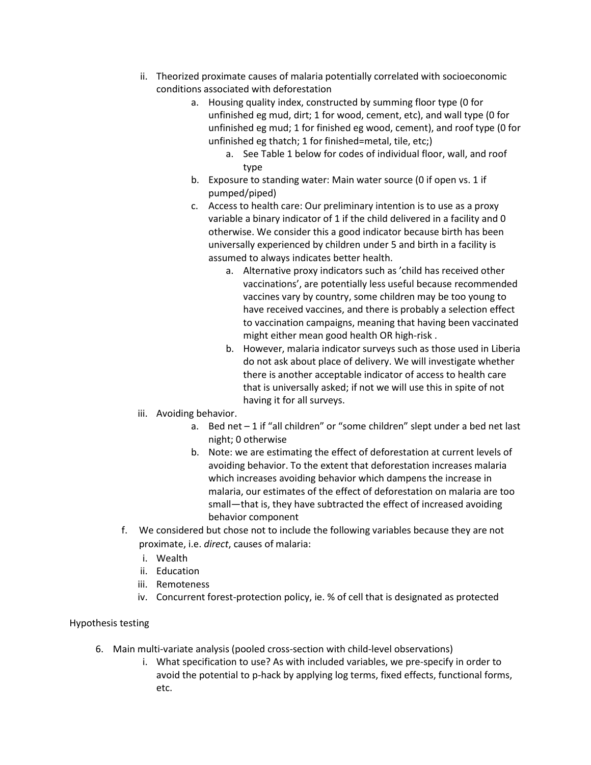- ii. Theorized proximate causes of malaria potentially correlated with socioeconomic conditions associated with deforestation
	- a. Housing quality index, constructed by summing floor type (0 for unfinished eg mud, dirt; 1 for wood, cement, etc), and wall type (0 for unfinished eg mud; 1 for finished eg wood, cement), and roof type (0 for unfinished eg thatch; 1 for finished=metal, tile, etc;)
		- a. See Table 1 below for codes of individual floor, wall, and roof type
	- b. Exposure to standing water: Main water source (0 if open vs. 1 if pumped/piped)
	- c. Access to health care: Our preliminary intention is to use as a proxy variable a binary indicator of 1 if the child delivered in a facility and 0 otherwise. We consider this a good indicator because birth has been universally experienced by children under 5 and birth in a facility is assumed to always indicates better health.
		- a. Alternative proxy indicators such as 'child has received other vaccinations', are potentially less useful because recommended vaccines vary by country, some children may be too young to have received vaccines, and there is probably a selection effect to vaccination campaigns, meaning that having been vaccinated might either mean good health OR high-risk .
		- b. However, malaria indicator surveys such as those used in Liberia do not ask about place of delivery. We will investigate whether there is another acceptable indicator of access to health care that is universally asked; if not we will use this in spite of not having it for all surveys.
- iii. Avoiding behavior.
	- a. Bed net 1 if "all children" or "some children" slept under a bed net last night; 0 otherwise
	- b. Note: we are estimating the effect of deforestation at current levels of avoiding behavior. To the extent that deforestation increases malaria which increases avoiding behavior which dampens the increase in malaria, our estimates of the effect of deforestation on malaria are too small—that is, they have subtracted the effect of increased avoiding behavior component
- f. We considered but chose not to include the following variables because they are not proximate, i.e. *direct*, causes of malaria:
	- i. Wealth
	- ii. Education
	- iii. Remoteness
	- iv. Concurrent forest-protection policy, ie. % of cell that is designated as protected

### Hypothesis testing

- 6. Main multi-variate analysis (pooled cross-section with child-level observations)
	- i. What specification to use? As with included variables, we pre-specify in order to avoid the potential to p-hack by applying log terms, fixed effects, functional forms, etc.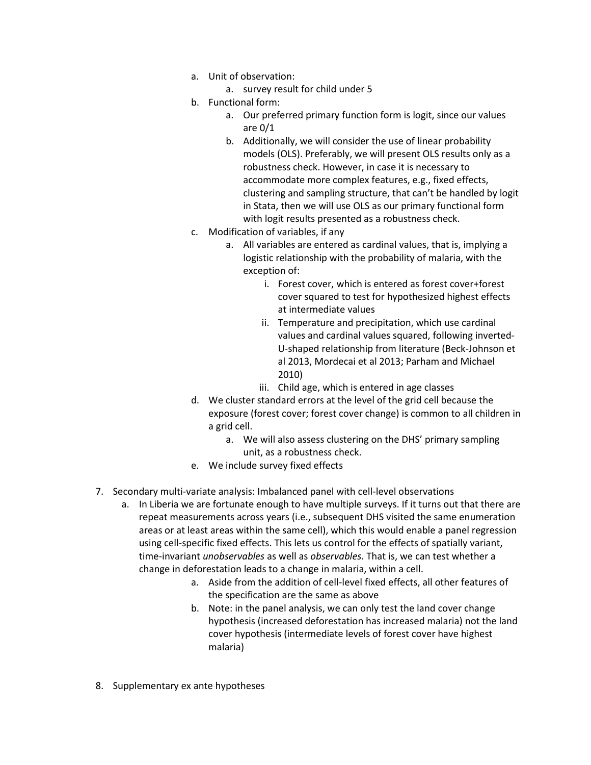- a. Unit of observation:
	- a. survey result for child under 5
- b. Functional form:
	- a. Our preferred primary function form is logit, since our values are 0/1
	- b. Additionally, we will consider the use of linear probability models (OLS). Preferably, we will present OLS results only as a robustness check. However, in case it is necessary to accommodate more complex features, e.g., fixed effects, clustering and sampling structure, that can't be handled by logit in Stata, then we will use OLS as our primary functional form with logit results presented as a robustness check.
- c. Modification of variables, if any
	- a. All variables are entered as cardinal values, that is, implying a logistic relationship with the probability of malaria, with the exception of:
		- i. Forest cover, which is entered as forest cover+forest cover squared to test for hypothesized highest effects at intermediate values
		- ii. Temperature and precipitation, which use cardinal values and cardinal values squared, following inverted-U-shaped relationship from literature (Beck-Johnson et al 2013, Mordecai et al 2013; Parham and Michael 2010)
		- iii. Child age, which is entered in age classes
- d. We cluster standard errors at the level of the grid cell because the exposure (forest cover; forest cover change) is common to all children in a grid cell.
	- a. We will also assess clustering on the DHS' primary sampling unit, as a robustness check.
- e. We include survey fixed effects
- 7. Secondary multi-variate analysis: Imbalanced panel with cell-level observations
	- a. In Liberia we are fortunate enough to have multiple surveys. If it turns out that there are repeat measurements across years (i.e., subsequent DHS visited the same enumeration areas or at least areas within the same cell), which this would enable a panel regression using cell-specific fixed effects. This lets us control for the effects of spatially variant, time-invariant *unobservables* as well as *observables.* That is, we can test whether a change in deforestation leads to a change in malaria, within a cell.
		- a. Aside from the addition of cell-level fixed effects, all other features of the specification are the same as above
		- b. Note: in the panel analysis, we can only test the land cover change hypothesis (increased deforestation has increased malaria) not the land cover hypothesis (intermediate levels of forest cover have highest malaria)
- 8. Supplementary ex ante hypotheses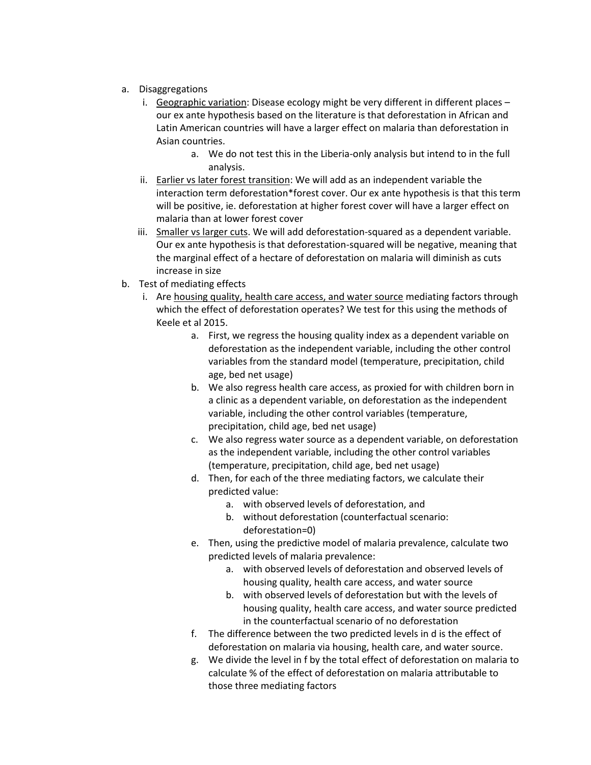- a. Disaggregations
	- i. Geographic variation: Disease ecology might be very different in different places our ex ante hypothesis based on the literature is that deforestation in African and Latin American countries will have a larger effect on malaria than deforestation in Asian countries.
		- a. We do not test this in the Liberia-only analysis but intend to in the full analysis.
	- ii. Earlier vs later forest transition: We will add as an independent variable the interaction term deforestation\*forest cover. Our ex ante hypothesis is that this term will be positive, ie. deforestation at higher forest cover will have a larger effect on malaria than at lower forest cover
	- iii. Smaller vs larger cuts. We will add deforestation-squared as a dependent variable. Our ex ante hypothesis is that deforestation-squared will be negative, meaning that the marginal effect of a hectare of deforestation on malaria will diminish as cuts increase in size
- b. Test of mediating effects
	- i. Are housing quality, health care access, and water source mediating factors through which the effect of deforestation operates? We test for this using the methods of Keele et al 2015.
		- a. First, we regress the housing quality index as a dependent variable on deforestation as the independent variable, including the other control variables from the standard model (temperature, precipitation, child age, bed net usage)
		- b. We also regress health care access, as proxied for with children born in a clinic as a dependent variable, on deforestation as the independent variable, including the other control variables (temperature, precipitation, child age, bed net usage)
		- c. We also regress water source as a dependent variable, on deforestation as the independent variable, including the other control variables (temperature, precipitation, child age, bed net usage)
		- d. Then, for each of the three mediating factors, we calculate their predicted value:
			- a. with observed levels of deforestation, and
			- b. without deforestation (counterfactual scenario: deforestation=0)
		- e. Then, using the predictive model of malaria prevalence, calculate two predicted levels of malaria prevalence:
			- a. with observed levels of deforestation and observed levels of housing quality, health care access, and water source
			- b. with observed levels of deforestation but with the levels of housing quality, health care access, and water source predicted in the counterfactual scenario of no deforestation
		- f. The difference between the two predicted levels in d is the effect of deforestation on malaria via housing, health care, and water source.
		- g. We divide the level in f by the total effect of deforestation on malaria to calculate % of the effect of deforestation on malaria attributable to those three mediating factors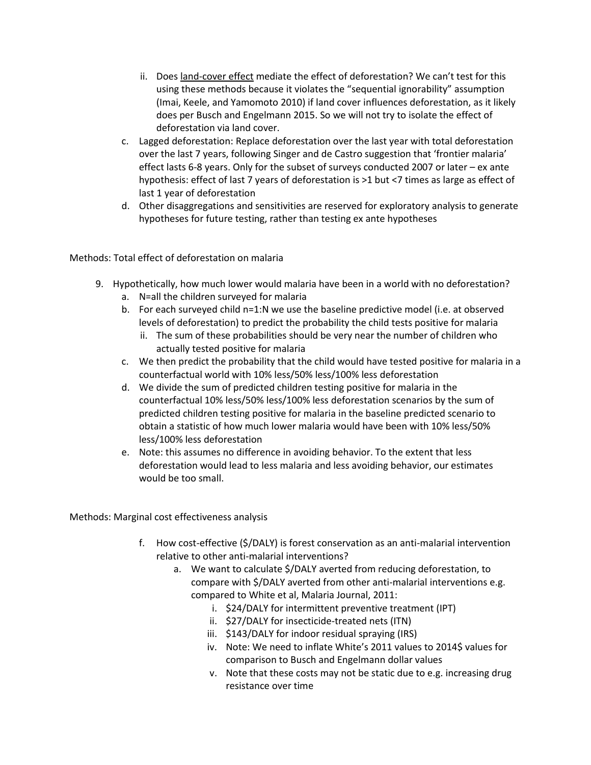- ii. Does land-cover effect mediate the effect of deforestation? We can't test for this using these methods because it violates the "sequential ignorability" assumption (Imai, Keele, and Yamomoto 2010) if land cover influences deforestation, as it likely does per Busch and Engelmann 2015. So we will not try to isolate the effect of deforestation via land cover.
- c. Lagged deforestation: Replace deforestation over the last year with total deforestation over the last 7 years, following Singer and de Castro suggestion that 'frontier malaria' effect lasts 6-8 years. Only for the subset of surveys conducted 2007 or later – ex ante hypothesis: effect of last 7 years of deforestation is >1 but <7 times as large as effect of last 1 year of deforestation
- d. Other disaggregations and sensitivities are reserved for exploratory analysis to generate hypotheses for future testing, rather than testing ex ante hypotheses

Methods: Total effect of deforestation on malaria

- 9. Hypothetically, how much lower would malaria have been in a world with no deforestation?
	- a. N=all the children surveyed for malaria
	- b. For each surveyed child n=1:N we use the baseline predictive model (i.e. at observed levels of deforestation) to predict the probability the child tests positive for malaria
		- ii. The sum of these probabilities should be very near the number of children who actually tested positive for malaria
	- c. We then predict the probability that the child would have tested positive for malaria in a counterfactual world with 10% less/50% less/100% less deforestation
	- d. We divide the sum of predicted children testing positive for malaria in the counterfactual 10% less/50% less/100% less deforestation scenarios by the sum of predicted children testing positive for malaria in the baseline predicted scenario to obtain a statistic of how much lower malaria would have been with 10% less/50% less/100% less deforestation
	- e. Note: this assumes no difference in avoiding behavior. To the extent that less deforestation would lead to less malaria and less avoiding behavior, our estimates would be too small.

Methods: Marginal cost effectiveness analysis

- f. How cost-effective (\$/DALY) is forest conservation as an anti-malarial intervention relative to other anti-malarial interventions?
	- a. We want to calculate \$/DALY averted from reducing deforestation, to compare with \$/DALY averted from other anti-malarial interventions e.g. compared to White et al, Malaria Journal, 2011:
		- i. \$24/DALY for intermittent preventive treatment (IPT)
		- ii. \$27/DALY for insecticide-treated nets (ITN)
		- iii. \$143/DALY for indoor residual spraying (IRS)
		- iv. Note: We need to inflate White's 2011 values to 2014\$ values for comparison to Busch and Engelmann dollar values
		- v. Note that these costs may not be static due to e.g. increasing drug resistance over time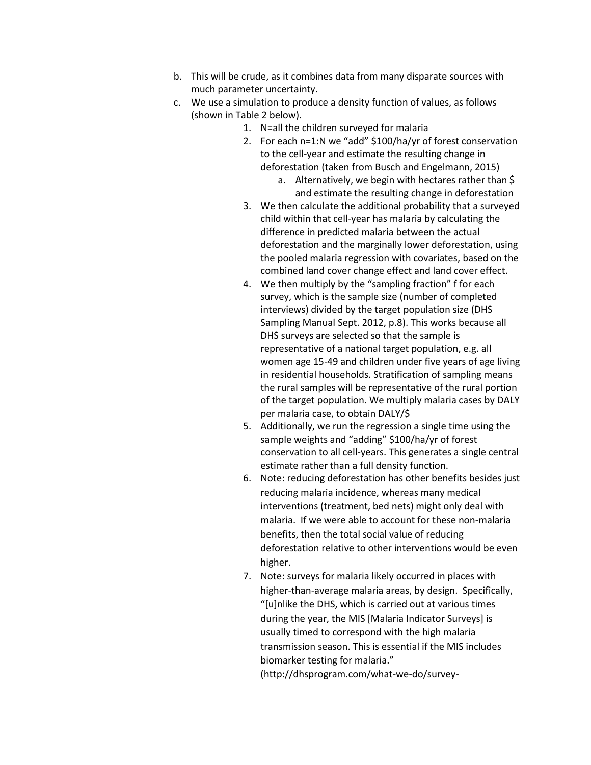- b. This will be crude, as it combines data from many disparate sources with much parameter uncertainty.
- c. We use a simulation to produce a density function of values, as follows (shown in Table 2 below).
	- 1. N=all the children surveyed for malaria
	- 2. For each n=1:N we "add" \$100/ha/yr of forest conservation to the cell-year and estimate the resulting change in deforestation (taken from Busch and Engelmann, 2015)
		- a. Alternatively, we begin with hectares rather than \$ and estimate the resulting change in deforestation
	- 3. We then calculate the additional probability that a surveyed child within that cell-year has malaria by calculating the difference in predicted malaria between the actual deforestation and the marginally lower deforestation, using the pooled malaria regression with covariates, based on the combined land cover change effect and land cover effect.
	- 4. We then multiply by the "sampling fraction" f for each survey, which is the sample size (number of completed interviews) divided by the target population size (DHS Sampling Manual Sept. 2012, p.8). This works because all DHS surveys are selected so that the sample is representative of a national target population, e.g. all women age 15-49 and children under five years of age living in residential households. Stratification of sampling means the rural samples will be representative of the rural portion of the target population. We multiply malaria cases by DALY per malaria case, to obtain DALY/\$
	- 5. Additionally, we run the regression a single time using the sample weights and "adding" \$100/ha/yr of forest conservation to all cell-years. This generates a single central estimate rather than a full density function.
	- 6. Note: reducing deforestation has other benefits besides just reducing malaria incidence, whereas many medical interventions (treatment, bed nets) might only deal with malaria. If we were able to account for these non-malaria benefits, then the total social value of reducing deforestation relative to other interventions would be even higher.
	- 7. Note: surveys for malaria likely occurred in places with higher-than-average malaria areas, by design. Specifically, "[u]nlike the DHS, which is carried out at various times during the year, the MIS [Malaria Indicator Surveys] is usually timed to correspond with the high malaria transmission season. This is essential if the MIS includes biomarker testing for malaria."

(http://dhsprogram.com/what-we-do/survey-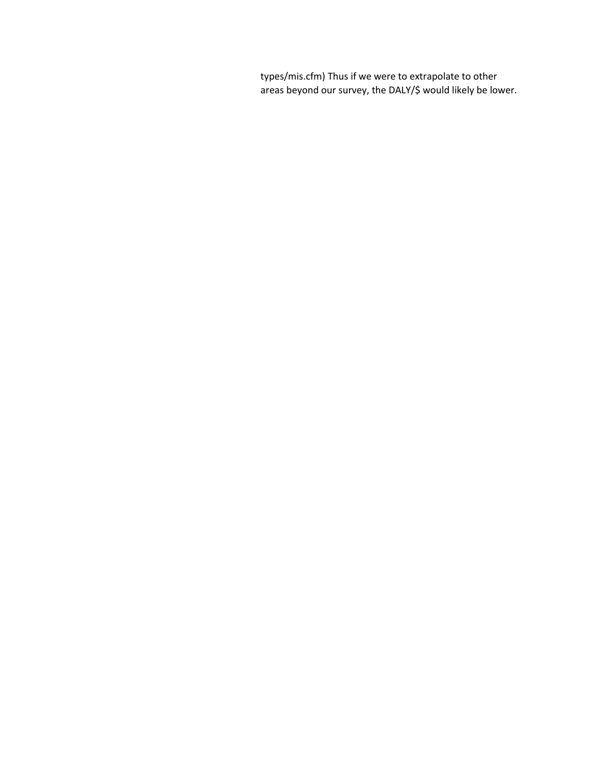types/mis.cfm) Thus if we were to extrapolate to other areas beyond our survey, the DALY/\$ would likely be lower.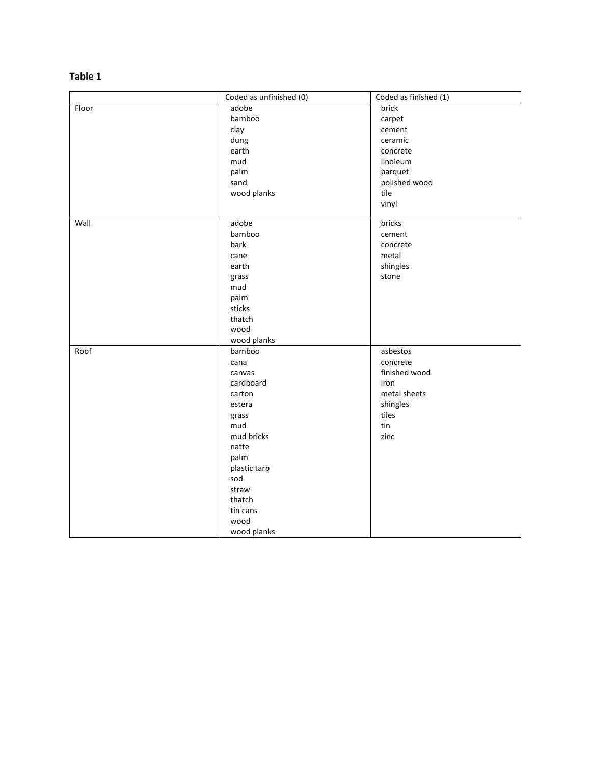# **Table 1**

|       | Coded as unfinished (0) | Coded as finished (1) |  |  |
|-------|-------------------------|-----------------------|--|--|
| Floor | adobe                   | brick                 |  |  |
|       | bamboo                  | carpet                |  |  |
|       | clay                    | cement                |  |  |
|       | dung                    | ceramic               |  |  |
|       | earth                   | concrete              |  |  |
|       | mud                     | linoleum              |  |  |
|       | palm                    | parquet               |  |  |
|       | sand                    | polished wood         |  |  |
|       | wood planks             | tile                  |  |  |
|       |                         | vinyl                 |  |  |
|       |                         |                       |  |  |
| Wall  | adobe                   | bricks                |  |  |
|       | bamboo                  | cement                |  |  |
|       | bark                    | concrete              |  |  |
|       | cane                    | metal                 |  |  |
|       | earth                   | shingles              |  |  |
|       | grass                   | stone                 |  |  |
|       | mud                     |                       |  |  |
|       | palm                    |                       |  |  |
|       | sticks                  |                       |  |  |
|       | thatch                  |                       |  |  |
|       | wood                    |                       |  |  |
|       | wood planks             |                       |  |  |
| Roof  | bamboo                  | asbestos              |  |  |
|       | cana                    | concrete              |  |  |
|       | canvas                  | finished wood         |  |  |
|       | cardboard               | iron                  |  |  |
|       | carton                  | metal sheets          |  |  |
|       | estera                  | shingles              |  |  |
|       | grass                   | tiles                 |  |  |
|       | mud                     | tin                   |  |  |
|       | mud bricks              | zinc                  |  |  |
|       | natte                   |                       |  |  |
|       | palm                    |                       |  |  |
|       | plastic tarp            |                       |  |  |
|       | sod                     |                       |  |  |
|       | straw                   |                       |  |  |
|       | thatch                  |                       |  |  |
|       | tin cans                |                       |  |  |
|       | wood                    |                       |  |  |
|       | wood planks             |                       |  |  |
|       |                         |                       |  |  |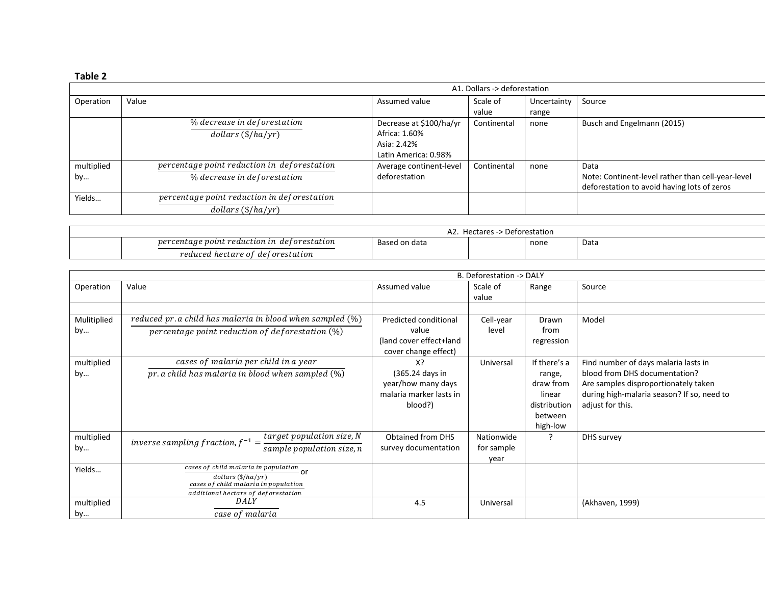## **Table 2**

|                  | A1. Dollars -> deforestation                                               |                                                                                 |                   |                      |                                                                                                          |  |
|------------------|----------------------------------------------------------------------------|---------------------------------------------------------------------------------|-------------------|----------------------|----------------------------------------------------------------------------------------------------------|--|
| Operation        | Value                                                                      | Assumed value                                                                   | Scale of<br>value | Uncertainty<br>range | Source                                                                                                   |  |
|                  | % decrease in deforestation<br>dollars (\$/ha/yr)                          | Decrease at \$100/ha/yr<br>Africa: 1.60%<br>Asia: 2.42%<br>Latin America: 0.98% | Continental       | none                 | Busch and Engelmann (2015)                                                                               |  |
| multiplied<br>by | percentage point reduction in deforestation<br>% decrease in deforestation | Average continent-level<br>deforestation                                        | Continental       | none                 | Data<br>Note: Continent-level rather than cell-year-level<br>deforestation to avoid having lots of zeros |  |
| Yields           | percentage point reduction in deforestation<br>dollars (\$/ha/yr)          |                                                                                 |                   |                      |                                                                                                          |  |

| › Deforestation<br>ectarer .<br>rz.                                      |               |  |      |             |
|--------------------------------------------------------------------------|---------------|--|------|-------------|
| centage point reduction ir<br>det orestation »<br>nerc<br>1 <sub>n</sub> | Based on data |  | none | n^+<br>Dald |
| reduced hectare of<br>de†orestation                                      |               |  |      |             |

|             | B. Deforestation -> DALY                                                    |                          |            |              |                                            |
|-------------|-----------------------------------------------------------------------------|--------------------------|------------|--------------|--------------------------------------------|
| Operation   | Value                                                                       | Assumed value            | Scale of   | Range        | Source                                     |
|             |                                                                             |                          | value      |              |                                            |
|             |                                                                             |                          |            |              |                                            |
| Mulitiplied | reduced pr. a child has malaria in blood when sampled (%)                   | Predicted conditional    | Cell-year  | Drawn        | Model                                      |
| by          | percentage point reduction of deforestation (%)                             | value                    | level      | from         |                                            |
|             |                                                                             | (land cover effect+land  |            | regression   |                                            |
|             |                                                                             | cover change effect)     |            |              |                                            |
| multiplied  | cases of malaria per child in a year                                        | X?                       | Universal  | If there's a | Find number of days malaria lasts in       |
| by          | $pr.a$ child has malaria in blood when sampled $(\%)$                       | (365.24 days in          |            | range,       | blood from DHS documentation?              |
|             |                                                                             | year/how many days       |            | draw from    | Are samples disproportionately taken       |
|             |                                                                             | malaria marker lasts in  |            | linear       | during high-malaria season? If so, need to |
|             |                                                                             | blood?)                  |            | distribution | adjust for this.                           |
|             |                                                                             |                          |            | between      |                                            |
|             |                                                                             |                          |            | high-low     |                                            |
| multiplied  | target population size, N                                                   | <b>Obtained from DHS</b> | Nationwide | ?            | DHS survey                                 |
| by          | inverse sampling fraction, $f^{-1} =$<br>sample population size, n          | survey documentation     | for sample |              |                                            |
|             |                                                                             |                          | year       |              |                                            |
| Yields      | $\overline{cases\ of\ child\ malaria\ in\ population}$                      |                          |            |              |                                            |
|             | dollars (\$/ha/yr)                                                          |                          |            |              |                                            |
|             | cases of child malaria in population<br>additional hectare of deforestation |                          |            |              |                                            |
| multiplied  | DALY                                                                        | 4.5                      | Universal  |              | (Akhaven, 1999)                            |
| by          | case of malaria                                                             |                          |            |              |                                            |